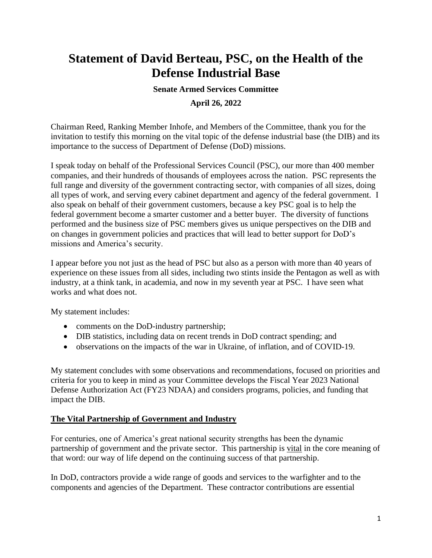# **Statement of David Berteau, PSC, on the Health of the Defense Industrial Base**

#### **Senate Armed Services Committee**

#### **April 26, 2022**

Chairman Reed, Ranking Member Inhofe, and Members of the Committee, thank you for the invitation to testify this morning on the vital topic of the defense industrial base (the DIB) and its importance to the success of Department of Defense (DoD) missions.

I speak today on behalf of the Professional Services Council (PSC), our more than 400 member companies, and their hundreds of thousands of employees across the nation. PSC represents the full range and diversity of the government contracting sector, with companies of all sizes, doing all types of work, and serving every cabinet department and agency of the federal government. I also speak on behalf of their government customers, because a key PSC goal is to help the federal government become a smarter customer and a better buyer. The diversity of functions performed and the business size of PSC members gives us unique perspectives on the DIB and on changes in government policies and practices that will lead to better support for DoD's missions and America's security.

I appear before you not just as the head of PSC but also as a person with more than 40 years of experience on these issues from all sides, including two stints inside the Pentagon as well as with industry, at a think tank, in academia, and now in my seventh year at PSC. I have seen what works and what does not.

My statement includes:

- comments on the DoD-industry partnership;
- DIB statistics, including data on recent trends in DoD contract spending; and
- observations on the impacts of the war in Ukraine, of inflation, and of COVID-19.

My statement concludes with some observations and recommendations, focused on priorities and criteria for you to keep in mind as your Committee develops the Fiscal Year 2023 National Defense Authorization Act (FY23 NDAA) and considers programs, policies, and funding that impact the DIB.

#### **The Vital Partnership of Government and Industry**

For centuries, one of America's great national security strengths has been the dynamic partnership of government and the private sector. This partnership is vital in the core meaning of that word: our way of life depend on the continuing success of that partnership.

In DoD, contractors provide a wide range of goods and services to the warfighter and to the components and agencies of the Department. These contractor contributions are essential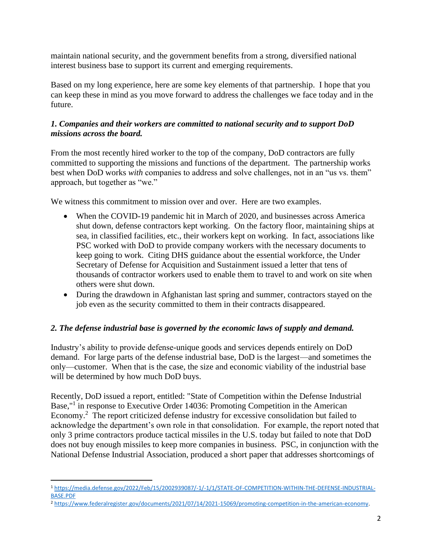maintain national security, and the government benefits from a strong, diversified national interest business base to support its current and emerging requirements.

Based on my long experience, here are some key elements of that partnership. I hope that you can keep these in mind as you move forward to address the challenges we face today and in the future.

## *1. Companies and their workers are committed to national security and to support DoD missions across the board.*

From the most recently hired worker to the top of the company, DoD contractors are fully committed to supporting the missions and functions of the department. The partnership works best when DoD works *with* companies to address and solve challenges, not in an "us vs. them" approach, but together as "we."

We witness this commitment to mission over and over. Here are two examples.

- When the COVID-19 pandemic hit in March of 2020, and businesses across America shut down, defense contractors kept working. On the factory floor, maintaining ships at sea, in classified facilities, etc., their workers kept on working. In fact, associations like PSC worked with DoD to provide company workers with the necessary documents to keep going to work. Citing DHS guidance about the essential workforce, the Under Secretary of Defense for Acquisition and Sustainment issued a letter that tens of thousands of contractor workers used to enable them to travel to and work on site when others were shut down.
- During the drawdown in Afghanistan last spring and summer, contractors stayed on the job even as the security committed to them in their contracts disappeared.

# *2. The defense industrial base is governed by the economic laws of supply and demand.*

Industry's ability to provide defense-unique goods and services depends entirely on DoD demand. For large parts of the defense industrial base, DoD is the largest—and sometimes the only—customer. When that is the case, the size and economic viability of the industrial base will be determined by how much DoD buys.

Recently, DoD issued a report, entitled: "State of Competition within the Defense Industrial Base,"<sup>1</sup> in response to Executive Order 14036: Promoting Competition in the American Economy.<sup>2</sup> The report criticized defense industry for excessive consolidation but failed to acknowledge the department's own role in that consolidation. For example, the report noted that only 3 prime contractors produce tactical missiles in the U.S. today but failed to note that DoD does not buy enough missiles to keep more companies in business. PSC, in conjunction with the National Defense Industrial Association, produced a short paper that addresses shortcomings of

<sup>1</sup> [https://media.defense.gov/2022/Feb/15/2002939087/-1/-1/1/STATE-OF-COMPETITION-WITHIN-THE-DEFENSE-INDUSTRIAL-](https://media.defense.gov/2022/Feb/15/2002939087/-1/-1/1/STATE-OF-COMPETITION-WITHIN-THE-DEFENSE-INDUSTRIAL-BASE.PDF)[BASE.PDF](https://media.defense.gov/2022/Feb/15/2002939087/-1/-1/1/STATE-OF-COMPETITION-WITHIN-THE-DEFENSE-INDUSTRIAL-BASE.PDF)

<sup>2</sup> [https://www.federalregister.gov/documents/2021/07/14/2021-15069/promoting-competition-in-the-american-economy.](https://www.federalregister.gov/documents/2021/07/14/2021-15069/promoting-competition-in-the-american-economy)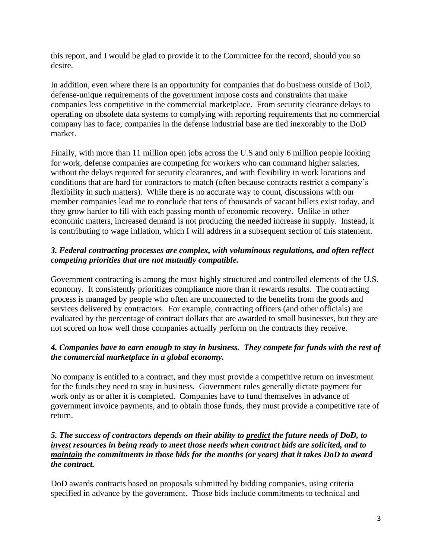this report, and I would be glad to provide it to the Committee for the record, should you so desire.

In addition, even where there is an opportunity for companies that do business outside of DoD, defense-unique requirements of the government impose costs and constraints that make companies less competitive in the commercial marketplace. From security clearance delays to operating on obsolete data systems to complying with reporting requirements that no commercial company has to face, companies in the defense industrial base are tied inexorably to the DoD market.

Finally, with more than 11 million open jobs across the U.S and only 6 million people looking for work, defense companies are competing for workers who can command higher salaries, without the delays required for security clearances, and with flexibility in work locations and conditions that are hard for contractors to match (often because contracts restrict a company's flexibility in such matters). While there is no accurate way to count, discussions with our member companies lead me to conclude that tens of thousands of vacant billets exist today, and they grow harder to fill with each passing month of economic recovery. Unlike in other economic matters, increased demand is not producing the needed increase in supply. Instead, it is contributing to wage inflation, which I will address in a subsequent section of this statement.

## *3. Federal contracting processes are complex, with voluminous regulations, and often reflect competing priorities that are not mutually compatible.*

Government contracting is among the most highly structured and controlled elements of the U.S. economy. It consistently prioritizes compliance more than it rewards results. The contracting process is managed by people who often are unconnected to the benefits from the goods and services delivered by contractors. For example, contracting officers (and other officials) are evaluated by the percentage of contract dollars that are awarded to small businesses, but they are not scored on how well those companies actually perform on the contracts they receive.

# *4. Companies have to earn enough to stay in business. They compete for funds with the rest of the commercial marketplace in a global economy.*

No company is entitled to a contract, and they must provide a competitive return on investment for the funds they need to stay in business. Government rules generally dictate payment for work only as or after it is completed. Companies have to fund themselves in advance of government invoice payments, and to obtain those funds, they must provide a competitive rate of return.

#### *5. The success of contractors depends on their ability to predict the future needs of DoD, to invest resources in being ready to meet those needs when contract bids are solicited, and to maintain the commitments in those bids for the months (or years) that it takes DoD to award the contract.*

DoD awards contracts based on proposals submitted by bidding companies, using criteria specified in advance by the government. Those bids include commitments to technical and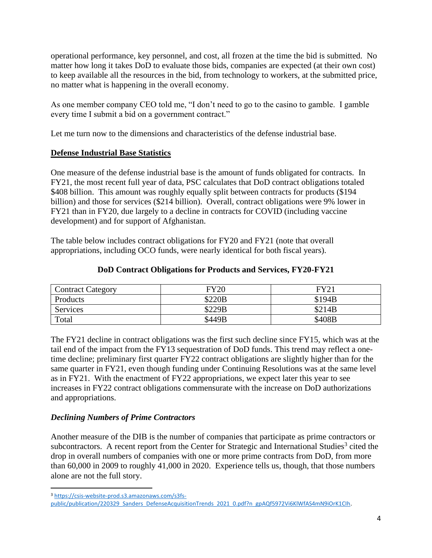operational performance, key personnel, and cost, all frozen at the time the bid is submitted. No matter how long it takes DoD to evaluate those bids, companies are expected (at their own cost) to keep available all the resources in the bid, from technology to workers, at the submitted price, no matter what is happening in the overall economy.

As one member company CEO told me, "I don't need to go to the casino to gamble. I gamble every time I submit a bid on a government contract."

Let me turn now to the dimensions and characteristics of the defense industrial base.

### **Defense Industrial Base Statistics**

One measure of the defense industrial base is the amount of funds obligated for contracts. In FY21, the most recent full year of data, PSC calculates that DoD contract obligations totaled \$408 billion. This amount was roughly equally split between contracts for products (\$194 billion) and those for services (\$214 billion). Overall, contract obligations were 9% lower in FY21 than in FY20, due largely to a decline in contracts for COVID (including vaccine development) and for support of Afghanistan.

The table below includes contract obligations for FY20 and FY21 (note that overall appropriations, including OCO funds, were nearly identical for both fiscal years).

### **DoD Contract Obligations for Products and Services, FY20-FY21**

| <b>Contract Category</b> | <b>FY20</b> | $\rm EV$ 21 |
|--------------------------|-------------|-------------|
| Products                 | \$220B      | \$194B      |
| Services                 | \$229B      | \$214B      |
| Total                    | \$449B      | \$408B      |

The FY21 decline in contract obligations was the first such decline since FY15, which was at the tail end of the impact from the FY13 sequestration of DoD funds. This trend may reflect a onetime decline; preliminary first quarter FY22 contract obligations are slightly higher than for the same quarter in FY21, even though funding under Continuing Resolutions was at the same level as in FY21. With the enactment of FY22 appropriations, we expect later this year to see increases in FY22 contract obligations commensurate with the increase on DoD authorizations and appropriations.

### *Declining Numbers of Prime Contractors*

Another measure of the DIB is the number of companies that participate as prime contractors or subcontractors. A recent report from the Center for Strategic and International Studies<sup>3</sup> cited the drop in overall numbers of companies with one or more prime contracts from DoD, from more than 60,000 in 2009 to roughly 41,000 in 2020. Experience tells us, though, that those numbers alone are not the full story.

<sup>3</sup> [https://csis-website-prod.s3.amazonaws.com/s3fs](https://csis-website-prod.s3.amazonaws.com/s3fs-public/publication/220329_Sanders_DefenseAcquisitionTrends_2021_0.pdf?n_gpAQf5972Vi6KlWfAS4mN9iOrK1CIh)public/publication/220329\_Sanders\_DefenseAcquisitionTrends\_2021\_0.pdf?n\_gpAQf5972Vi6KlWfAS4mN9iOrK1Clh.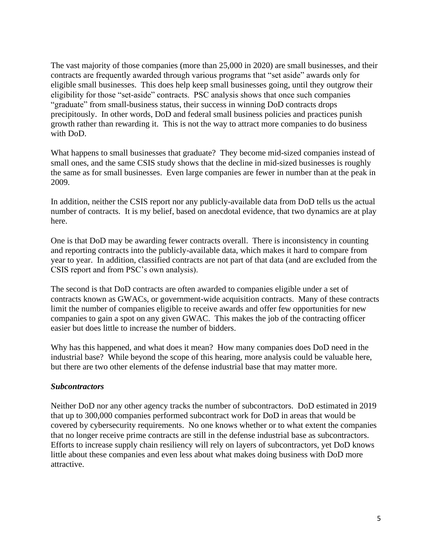The vast majority of those companies (more than 25,000 in 2020) are small businesses, and their contracts are frequently awarded through various programs that "set aside" awards only for eligible small businesses. This does help keep small businesses going, until they outgrow their eligibility for those "set-aside" contracts. PSC analysis shows that once such companies "graduate" from small-business status, their success in winning DoD contracts drops precipitously. In other words, DoD and federal small business policies and practices punish growth rather than rewarding it. This is not the way to attract more companies to do business with DoD.

What happens to small businesses that graduate? They become mid-sized companies instead of small ones, and the same CSIS study shows that the decline in mid-sized businesses is roughly the same as for small businesses. Even large companies are fewer in number than at the peak in 2009.

In addition, neither the CSIS report nor any publicly-available data from DoD tells us the actual number of contracts. It is my belief, based on anecdotal evidence, that two dynamics are at play here.

One is that DoD may be awarding fewer contracts overall. There is inconsistency in counting and reporting contracts into the publicly-available data, which makes it hard to compare from year to year. In addition, classified contracts are not part of that data (and are excluded from the CSIS report and from PSC's own analysis).

The second is that DoD contracts are often awarded to companies eligible under a set of contracts known as GWACs, or government-wide acquisition contracts. Many of these contracts limit the number of companies eligible to receive awards and offer few opportunities for new companies to gain a spot on any given GWAC. This makes the job of the contracting officer easier but does little to increase the number of bidders.

Why has this happened, and what does it mean? How many companies does DoD need in the industrial base? While beyond the scope of this hearing, more analysis could be valuable here, but there are two other elements of the defense industrial base that may matter more.

#### *Subcontractors*

Neither DoD nor any other agency tracks the number of subcontractors. DoD estimated in 2019 that up to 300,000 companies performed subcontract work for DoD in areas that would be covered by cybersecurity requirements. No one knows whether or to what extent the companies that no longer receive prime contracts are still in the defense industrial base as subcontractors. Efforts to increase supply chain resiliency will rely on layers of subcontractors, yet DoD knows little about these companies and even less about what makes doing business with DoD more attractive.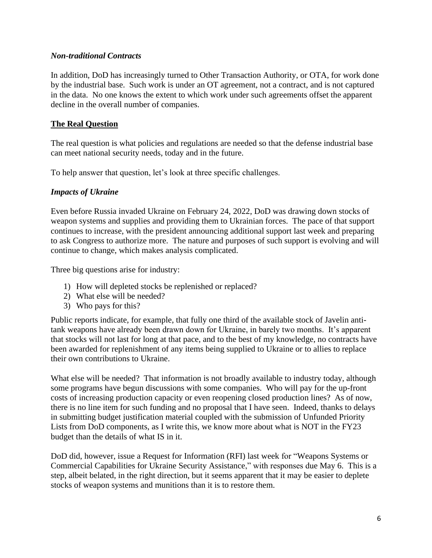#### *Non-traditional Contracts*

In addition, DoD has increasingly turned to Other Transaction Authority, or OTA, for work done by the industrial base. Such work is under an OT agreement, not a contract, and is not captured in the data. No one knows the extent to which work under such agreements offset the apparent decline in the overall number of companies.

#### **The Real Question**

The real question is what policies and regulations are needed so that the defense industrial base can meet national security needs, today and in the future.

To help answer that question, let's look at three specific challenges.

#### *Impacts of Ukraine*

Even before Russia invaded Ukraine on February 24, 2022, DoD was drawing down stocks of weapon systems and supplies and providing them to Ukrainian forces. The pace of that support continues to increase, with the president announcing additional support last week and preparing to ask Congress to authorize more. The nature and purposes of such support is evolving and will continue to change, which makes analysis complicated.

Three big questions arise for industry:

- 1) How will depleted stocks be replenished or replaced?
- 2) What else will be needed?
- 3) Who pays for this?

Public reports indicate, for example, that fully one third of the available stock of Javelin antitank weapons have already been drawn down for Ukraine, in barely two months. It's apparent that stocks will not last for long at that pace, and to the best of my knowledge, no contracts have been awarded for replenishment of any items being supplied to Ukraine or to allies to replace their own contributions to Ukraine.

What else will be needed? That information is not broadly available to industry today, although some programs have begun discussions with some companies. Who will pay for the up-front costs of increasing production capacity or even reopening closed production lines? As of now, there is no line item for such funding and no proposal that I have seen. Indeed, thanks to delays in submitting budget justification material coupled with the submission of Unfunded Priority Lists from DoD components, as I write this, we know more about what is NOT in the FY23 budget than the details of what IS in it.

DoD did, however, issue a Request for Information (RFI) last week for "Weapons Systems or Commercial Capabilities for Ukraine Security Assistance," with responses due May 6. This is a step, albeit belated, in the right direction, but it seems apparent that it may be easier to deplete stocks of weapon systems and munitions than it is to restore them.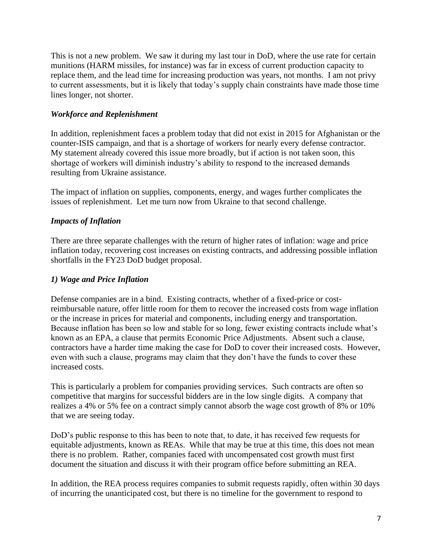This is not a new problem. We saw it during my last tour in DoD, where the use rate for certain munitions (HARM missiles, for instance) was far in excess of current production capacity to replace them, and the lead time for increasing production was years, not months. I am not privy to current assessments, but it is likely that today's supply chain constraints have made those time lines longer, not shorter.

### *Workforce and Replenishment*

In addition, replenishment faces a problem today that did not exist in 2015 for Afghanistan or the counter-ISIS campaign, and that is a shortage of workers for nearly every defense contractor. My statement already covered this issue more broadly, but if action is not taken soon, this shortage of workers will diminish industry's ability to respond to the increased demands resulting from Ukraine assistance.

The impact of inflation on supplies, components, energy, and wages further complicates the issues of replenishment. Let me turn now from Ukraine to that second challenge.

# *Impacts of Inflation*

There are three separate challenges with the return of higher rates of inflation: wage and price inflation today, recovering cost increases on existing contracts, and addressing possible inflation shortfalls in the FY23 DoD budget proposal.

# *1) Wage and Price Inflation*

Defense companies are in a bind. Existing contracts, whether of a fixed-price or costreimbursable nature, offer little room for them to recover the increased costs from wage inflation or the increase in prices for material and components, including energy and transportation. Because inflation has been so low and stable for so long, fewer existing contracts include what's known as an EPA, a clause that permits Economic Price Adjustments. Absent such a clause, contractors have a harder time making the case for DoD to cover their increased costs. However, even with such a clause, programs may claim that they don't have the funds to cover these increased costs.

This is particularly a problem for companies providing services. Such contracts are often so competitive that margins for successful bidders are in the low single digits. A company that realizes a 4% or 5% fee on a contract simply cannot absorb the wage cost growth of 8% or 10% that we are seeing today.

DoD's public response to this has been to note that, to date, it has received few requests for equitable adjustments, known as REAs. While that may be true at this time, this does not mean there is no problem. Rather, companies faced with uncompensated cost growth must first document the situation and discuss it with their program office before submitting an REA.

In addition, the REA process requires companies to submit requests rapidly, often within 30 days of incurring the unanticipated cost, but there is no timeline for the government to respond to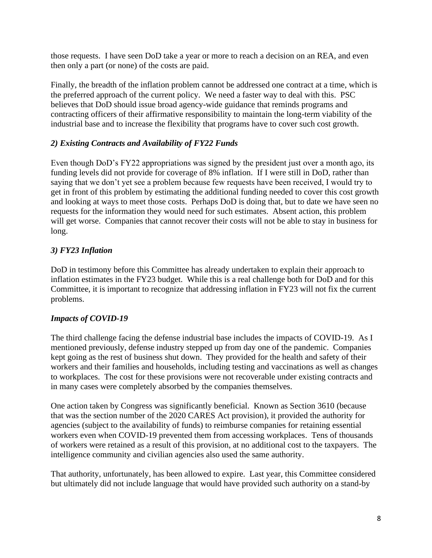those requests. I have seen DoD take a year or more to reach a decision on an REA, and even then only a part (or none) of the costs are paid.

Finally, the breadth of the inflation problem cannot be addressed one contract at a time, which is the preferred approach of the current policy. We need a faster way to deal with this. PSC believes that DoD should issue broad agency-wide guidance that reminds programs and contracting officers of their affirmative responsibility to maintain the long-term viability of the industrial base and to increase the flexibility that programs have to cover such cost growth.

# *2) Existing Contracts and Availability of FY22 Funds*

Even though DoD's FY22 appropriations was signed by the president just over a month ago, its funding levels did not provide for coverage of 8% inflation. If I were still in DoD, rather than saying that we don't yet see a problem because few requests have been received, I would try to get in front of this problem by estimating the additional funding needed to cover this cost growth and looking at ways to meet those costs. Perhaps DoD is doing that, but to date we have seen no requests for the information they would need for such estimates. Absent action, this problem will get worse. Companies that cannot recover their costs will not be able to stay in business for long.

# *3) FY23 Inflation*

DoD in testimony before this Committee has already undertaken to explain their approach to inflation estimates in the FY23 budget. While this is a real challenge both for DoD and for this Committee, it is important to recognize that addressing inflation in FY23 will not fix the current problems.

### *Impacts of COVID-19*

The third challenge facing the defense industrial base includes the impacts of COVID-19. As I mentioned previously, defense industry stepped up from day one of the pandemic. Companies kept going as the rest of business shut down. They provided for the health and safety of their workers and their families and households, including testing and vaccinations as well as changes to workplaces. The cost for these provisions were not recoverable under existing contracts and in many cases were completely absorbed by the companies themselves.

One action taken by Congress was significantly beneficial. Known as Section 3610 (because that was the section number of the 2020 CARES Act provision), it provided the authority for agencies (subject to the availability of funds) to reimburse companies for retaining essential workers even when COVID-19 prevented them from accessing workplaces. Tens of thousands of workers were retained as a result of this provision, at no additional cost to the taxpayers. The intelligence community and civilian agencies also used the same authority.

That authority, unfortunately, has been allowed to expire. Last year, this Committee considered but ultimately did not include language that would have provided such authority on a stand-by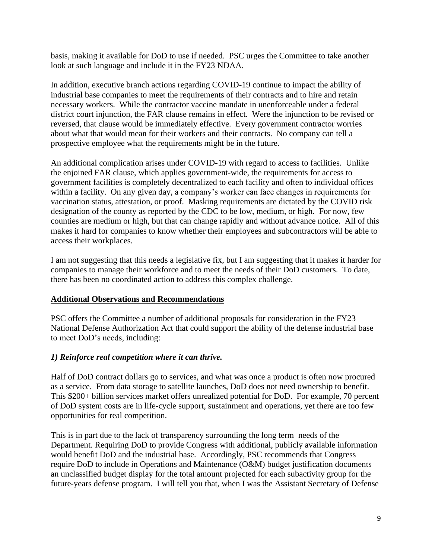basis, making it available for DoD to use if needed. PSC urges the Committee to take another look at such language and include it in the FY23 NDAA.

In addition, executive branch actions regarding COVID-19 continue to impact the ability of industrial base companies to meet the requirements of their contracts and to hire and retain necessary workers. While the contractor vaccine mandate in unenforceable under a federal district court injunction, the FAR clause remains in effect. Were the injunction to be revised or reversed, that clause would be immediately effective. Every government contractor worries about what that would mean for their workers and their contracts. No company can tell a prospective employee what the requirements might be in the future.

An additional complication arises under COVID-19 with regard to access to facilities. Unlike the enjoined FAR clause, which applies government-wide, the requirements for access to government facilities is completely decentralized to each facility and often to individual offices within a facility. On any given day, a company's worker can face changes in requirements for vaccination status, attestation, or proof. Masking requirements are dictated by the COVID risk designation of the county as reported by the CDC to be low, medium, or high. For now, few counties are medium or high, but that can change rapidly and without advance notice. All of this makes it hard for companies to know whether their employees and subcontractors will be able to access their workplaces.

I am not suggesting that this needs a legislative fix, but I am suggesting that it makes it harder for companies to manage their workforce and to meet the needs of their DoD customers. To date, there has been no coordinated action to address this complex challenge.

### **Additional Observations and Recommendations**

PSC offers the Committee a number of additional proposals for consideration in the FY23 National Defense Authorization Act that could support the ability of the defense industrial base to meet DoD's needs, including:

### *1) Reinforce real competition where it can thrive.*

Half of DoD contract dollars go to services, and what was once a product is often now procured as a service. From data storage to satellite launches, DoD does not need ownership to benefit. This \$200+ billion services market offers unrealized potential for DoD. For example, 70 percent of DoD system costs are in life-cycle support, sustainment and operations, yet there are too few opportunities for real competition.

This is in part due to the lack of transparency surrounding the long term needs of the Department. Requiring DoD to provide Congress with additional, publicly available information would benefit DoD and the industrial base. Accordingly, PSC recommends that Congress require DoD to include in Operations and Maintenance (O&M) budget justification documents an unclassified budget display for the total amount projected for each subactivity group for the future-years defense program. I will tell you that, when I was the Assistant Secretary of Defense